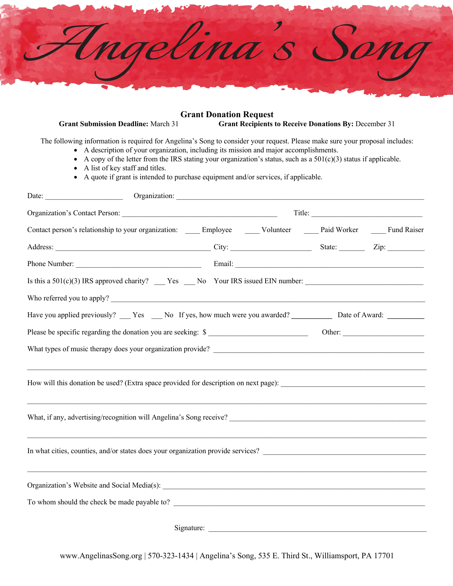

## **Grant Donation Request Grant Submission Deadline:** March 31 **Grant Recipients to Receive Donations By:** December 31

The following information is required for Angelina's Song to consider your request. Please make sure your proposal includes:

- A description of your organization, including its mission and major accomplishments.
- A copy of the letter from the IRS stating your organization's status, such as a  $501(c)(3)$  status if applicable.
- A list of key staff and titles.
- A quote if grant is intended to purchase equipment and/or services, if applicable.

| Date: $\qquad \qquad$                                                                                                   |  |            |  |  |  |
|-------------------------------------------------------------------------------------------------------------------------|--|------------|--|--|--|
|                                                                                                                         |  |            |  |  |  |
| Contact person's relationship to your organization: _____ Employee ______ Volunteer _____ Paid Worker _____ Fund Raiser |  |            |  |  |  |
| Address: <u>City:</u> City: City: State: Zip: Zip:                                                                      |  |            |  |  |  |
|                                                                                                                         |  |            |  |  |  |
| Is this a $501(c)(3)$ IRS approved charity? $\_\_\_\$ Yes $\_\_\_\$ No Your IRS issued EIN number:                      |  |            |  |  |  |
| Who referred you to apply?                                                                                              |  |            |  |  |  |
| Have you applied previously? No Execution No If yes, how much were you awarded? No Date of Award:                       |  |            |  |  |  |
| Please be specific regarding the donation you are seeking: \$                                                           |  |            |  |  |  |
|                                                                                                                         |  |            |  |  |  |
|                                                                                                                         |  |            |  |  |  |
|                                                                                                                         |  |            |  |  |  |
| In what cities, counties, and/or states does your organization provide services?                                        |  |            |  |  |  |
|                                                                                                                         |  |            |  |  |  |
|                                                                                                                         |  |            |  |  |  |
|                                                                                                                         |  | Signature: |  |  |  |

www.AngelinasSong.org | 570-323-1434 | Angelina's Song, 535 E. Third St., Williamsport, PA 17701